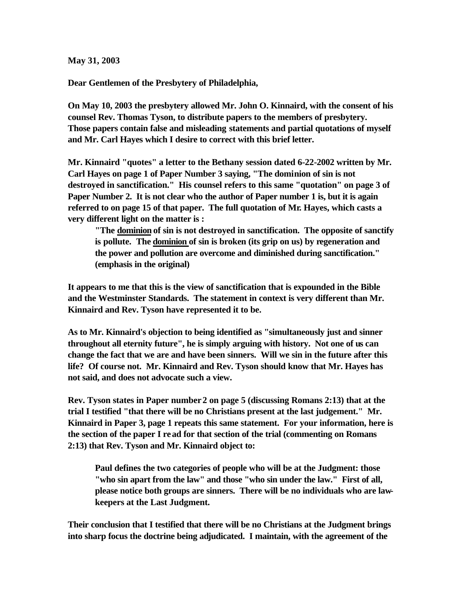**May 31, 2003**

**Dear Gentlemen of the Presbytery of Philadelphia,**

**On May 10, 2003 the presbytery allowed Mr. John O. Kinnaird, with the consent of his counsel Rev. Thomas Tyson, to distribute papers to the members of presbytery. Those papers contain false and misleading statements and partial quotations of myself and Mr. Carl Hayes which I desire to correct with this brief letter.**

**Mr. Kinnaird "quotes" a letter to the Bethany session dated 6-22-2002 written by Mr. Carl Hayes on page 1 of Paper Number 3 saying, "The dominion of sin is not destroyed in sanctification." His counsel refers to this same "quotation" on page 3 of Paper Number 2. It is not clear who the author of Paper number 1 is, but it is again referred to on page 15 of that paper. The full quotation of Mr. Hayes, which casts a very different light on the matter is :**

**"The dominion of sin is not destroyed in sanctification. The opposite of sanctify is pollute. The dominion of sin is broken (its grip on us) by regeneration and the power and pollution are overcome and diminished during sanctification." (emphasis in the original)**

**It appears to me that this is the view of sanctification that is expounded in the Bible and the Westminster Standards. The statement in context is very different than Mr. Kinnaird and Rev. Tyson have represented it to be.**

**As to Mr. Kinnaird's objection to being identified as "simultaneously just and sinner throughout all eternity future", he is simply arguing with history. Not one of us can change the fact that we are and have been sinners. Will we sin in the future after this life? Of course not. Mr. Kinnaird and Rev. Tyson should know that Mr. Hayes has not said, and does not advocate such a view.**

**Rev. Tyson states in Paper number 2 on page 5 (discussing Romans 2:13) that at the trial I testified "that there will be no Christians present at the last judgement." Mr. Kinnaird in Paper 3, page 1 repeats this same statement. For your information, here is the section of the paper I read for that section of the trial (commenting on Romans 2:13) that Rev. Tyson and Mr. Kinnaird object to:**

**Paul defines the two categories of people who will be at the Judgment: those "who sin apart from the law" and those "who sin under the law." First of all, please notice both groups are sinners. There will be no individuals who are lawkeepers at the Last Judgment.**

**Their conclusion that I testified that there will be no Christians at the Judgment brings into sharp focus the doctrine being adjudicated. I maintain, with the agreement of the**